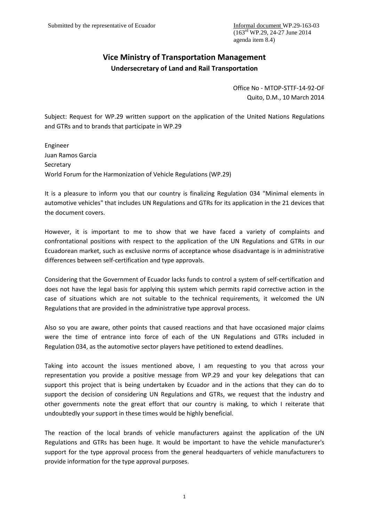## **Vice Ministry of Transportation Management Undersecretary of Land and Rail Transportation**

Office No - MTOP-STTF-14-92-OF Quito, D.M., 10 March 2014

Subject: Request for WP.29 written support on the application of the United Nations Regulations and GTRs and to brands that participate in WP.29

Engineer Juan Ramos Garcia Secretary World Forum for the Harmonization of Vehicle Regulations (WP.29)

It is a pleasure to inform you that our country is finalizing Regulation 034 "Minimal elements in automotive vehicles" that includes UN Regulations and GTRs for its application in the 21 devices that the document covers.

However, it is important to me to show that we have faced a variety of complaints and confrontational positions with respect to the application of the UN Regulations and GTRs in our Ecuadorean market, such as exclusive norms of acceptance whose disadvantage is in administrative differences between self-certification and type approvals.

Considering that the Government of Ecuador lacks funds to control a system of self-certification and does not have the legal basis for applying this system which permits rapid corrective action in the case of situations which are not suitable to the technical requirements, it welcomed the UN Regulations that are provided in the administrative type approval process.

Also so you are aware, other points that caused reactions and that have occasioned major claims were the time of entrance into force of each of the UN Regulations and GTRs included in Regulation 034, as the automotive sector players have petitioned to extend deadlines.

Taking into account the issues mentioned above, I am requesting to you that across your representation you provide a positive message from WP.29 and your key delegations that can support this project that is being undertaken by Ecuador and in the actions that they can do to support the decision of considering UN Regulations and GTRs, we request that the industry and other governments note the great effort that our country is making, to which I reiterate that undoubtedly your support in these times would be highly beneficial.

The reaction of the local brands of vehicle manufacturers against the application of the UN Regulations and GTRs has been huge. It would be important to have the vehicle manufacturer's support for the type approval process from the general headquarters of vehicle manufacturers to provide information for the type approval purposes.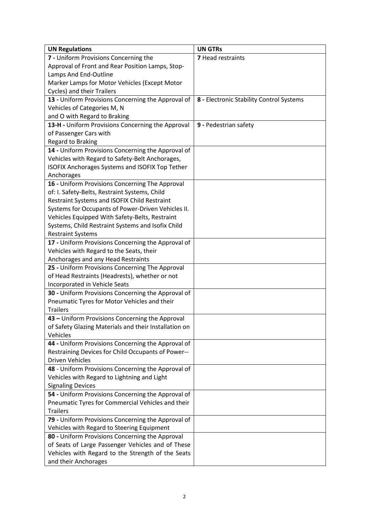| <b>UN Regulations</b>                                 | <b>UN GTRs</b>                           |
|-------------------------------------------------------|------------------------------------------|
| 7 - Uniform Provisions Concerning the                 | 7 Head restraints                        |
| Approval of Front and Rear Position Lamps, Stop-      |                                          |
| Lamps And End-Outline                                 |                                          |
| Marker Lamps for Motor Vehicles (Except Motor         |                                          |
| Cycles) and their Trailers                            |                                          |
| 13 - Uniform Provisions Concerning the Approval of    | 8 - Electronic Stability Control Systems |
| Vehicles of Categories M, N                           |                                          |
| and O with Regard to Braking                          |                                          |
| 13-H - Uniform Provisions Concerning the Approval     | 9 - Pedestrian safety                    |
| of Passenger Cars with                                |                                          |
| <b>Regard to Braking</b>                              |                                          |
| 14 - Uniform Provisions Concerning the Approval of    |                                          |
| Vehicles with Regard to Safety-Belt Anchorages,       |                                          |
| ISOFIX Anchorages Systems and ISOFIX Top Tether       |                                          |
| Anchorages                                            |                                          |
| 16 - Uniform Provisions Concerning The Approval       |                                          |
| of: I. Safety-Belts, Restraint Systems, Child         |                                          |
| Restraint Systems and ISOFIX Child Restraint          |                                          |
| Systems for Occupants of Power-Driven Vehicles II.    |                                          |
| Vehicles Equipped With Safety-Belts, Restraint        |                                          |
| Systems, Child Restraint Systems and Isofix Child     |                                          |
| <b>Restraint Systems</b>                              |                                          |
| 17 - Uniform Provisions Concerning the Approval of    |                                          |
| Vehicles with Regard to the Seats, their              |                                          |
| Anchorages and any Head Restraints                    |                                          |
| 25 - Uniform Provisions Concerning The Approval       |                                          |
| of Head Restraints (Headrests), whether or not        |                                          |
| Incorporated in Vehicle Seats                         |                                          |
| 30 - Uniform Provisions Concerning the Approval of    |                                          |
| Pneumatic Tyres for Motor Vehicles and their          |                                          |
| <b>Trailers</b>                                       |                                          |
| 43 - Uniform Provisions Concerning the Approval       |                                          |
| of Safety Glazing Materials and their Installation on |                                          |
| Vehicles                                              |                                          |
| 44 - Uniform Provisions Concerning the Approval of    |                                          |
| Restraining Devices for Child Occupants of Power--    |                                          |
| <b>Driven Vehicles</b>                                |                                          |
| 48 - Uniform Provisions Concerning the Approval of    |                                          |
| Vehicles with Regard to Lightning and Light           |                                          |
| <b>Signaling Devices</b>                              |                                          |
| 54 - Uniform Provisions Concerning the Approval of    |                                          |
| Pneumatic Tyres for Commercial Vehicles and their     |                                          |
| <b>Trailers</b>                                       |                                          |
| 79 - Uniform Provisions Concerning the Approval of    |                                          |
| Vehicles with Regard to Steering Equipment            |                                          |
| 80 - Uniform Provisions Concerning the Approval       |                                          |
| of Seats of Large Passenger Vehicles and of These     |                                          |
| Vehicles with Regard to the Strength of the Seats     |                                          |
| and their Anchorages                                  |                                          |